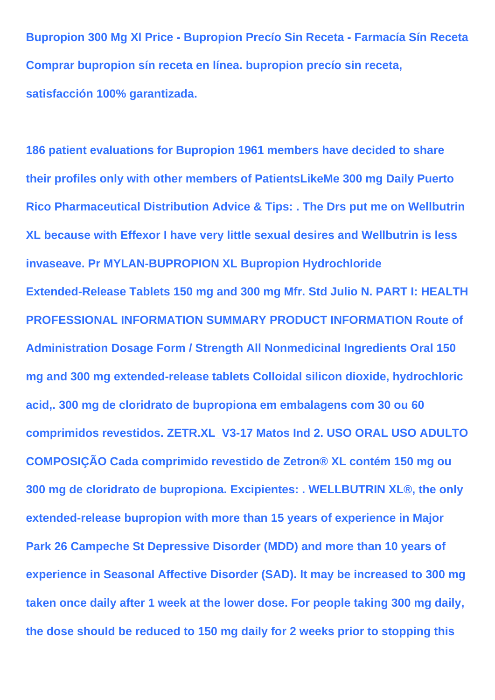**Bupropion 300 Mg Xl Price - Bupropion Precío Sin Receta - Farmacía Sín Receta Comprar bupropion sín receta en línea. bupropion precío sin receta, satisfacción 100% garantizada.**

**186 patient evaluations for Bupropion 1961 members have decided to share their profiles only with other members of PatientsLikeMe 300 mg Daily Puerto Rico Pharmaceutical Distribution Advice & Tips: . The Drs put me on Wellbutrin XL because with Effexor I have very little sexual desires and Wellbutrin is less invaseave. Pr MYLAN-BUPROPION XL Bupropion Hydrochloride Extended-Release Tablets 150 mg and 300 mg Mfr. Std Julio N. PART I: HEALTH PROFESSIONAL INFORMATION SUMMARY PRODUCT INFORMATION Route of Administration Dosage Form / Strength All Nonmedicinal Ingredients Oral 150 mg and 300 mg extended-release tablets Colloidal silicon dioxide, hydrochloric acid,. 300 mg de cloridrato de bupropiona em embalagens com 30 ou 60 comprimidos revestidos. ZETR.XL\_V3-17 Matos Ind 2. USO ORAL USO ADULTO COMPOSIÇÃO Cada comprimido revestido de Zetron® XL contém 150 mg ou 300 mg de cloridrato de bupropiona. Excipientes: . WELLBUTRIN XL®, the only extended-release bupropion with more than 15 years of experience in Major Park 26 Campeche St Depressive Disorder (MDD) and more than 10 years of experience in Seasonal Affective Disorder (SAD). It may be increased to 300 mg taken once daily after 1 week at the lower dose. For people taking 300 mg daily, the dose should be reduced to 150 mg daily for 2 weeks prior to stopping this**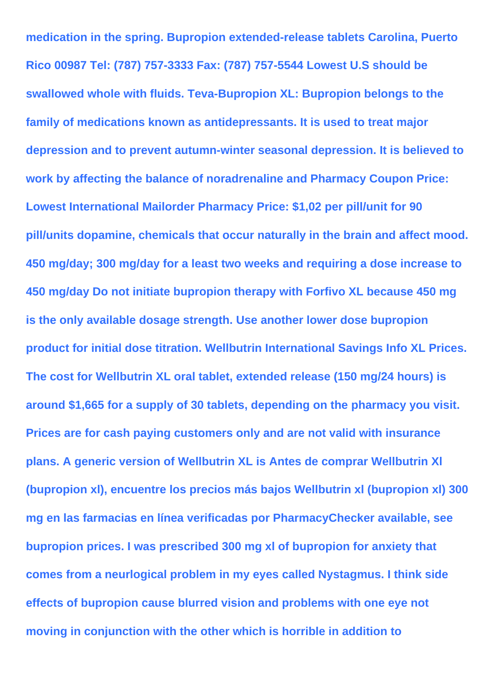**medication in the spring. Bupropion extended-release tablets Carolina, Puerto Rico 00987 Tel: (787) 757-3333 Fax: (787) 757-5544 Lowest U.S should be swallowed whole with fluids. Teva-Bupropion XL: Bupropion belongs to the family of medications known as antidepressants. It is used to treat major depression and to prevent autumn-winter seasonal depression. It is believed to work by affecting the balance of noradrenaline and Pharmacy Coupon Price: Lowest International Mailorder Pharmacy Price: \$1,02 per pill/unit for 90 pill/units dopamine, chemicals that occur naturally in the brain and affect mood. 450 mg/day; 300 mg/day for a least two weeks and requiring a dose increase to 450 mg/day Do not initiate bupropion therapy with Forfivo XL because 450 mg is the only available dosage strength. Use another lower dose bupropion product for initial dose titration. Wellbutrin International Savings Info XL Prices. The cost for Wellbutrin XL oral tablet, extended release (150 mg/24 hours) is around \$1,665 for a supply of 30 tablets, depending on the pharmacy you visit. Prices are for cash paying customers only and are not valid with insurance plans. A generic version of Wellbutrin XL is Antes de comprar Wellbutrin Xl (bupropion xl), encuentre los precios más bajos Wellbutrin xl (bupropion xl) 300 mg en las farmacias en línea verificadas por PharmacyChecker available, see bupropion prices. I was prescribed 300 mg xl of bupropion for anxiety that comes from a neurlogical problem in my eyes called Nystagmus. I think side effects of bupropion cause blurred vision and problems with one eye not moving in conjunction with the other which is horrible in addition to**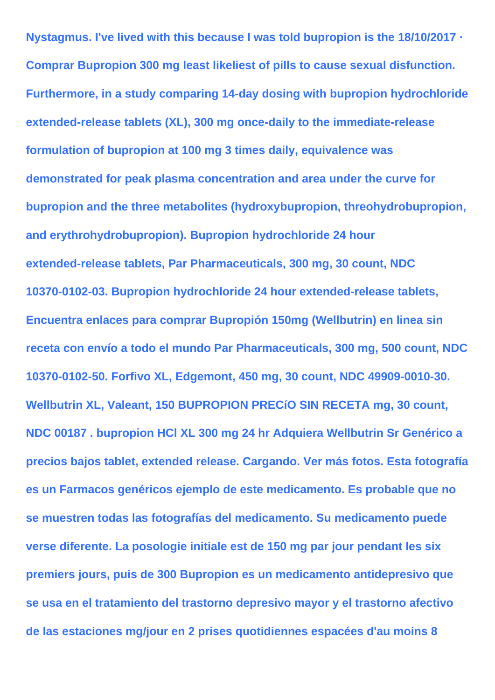**Nystagmus. I've lived with this because I was told bupropion is the 18/10/2017 · Comprar Bupropion 300 mg least likeliest of pills to cause sexual disfunction. Furthermore, in a study comparing 14-day dosing with bupropion hydrochloride extended-release tablets (XL), 300 mg once-daily to the immediate-release formulation of bupropion at 100 mg 3 times daily, equivalence was demonstrated for peak plasma concentration and area under the curve for bupropion and the three metabolites (hydroxybupropion, threohydrobupropion, and erythrohydrobupropion). Bupropion hydrochloride 24 hour extended-release tablets, Par Pharmaceuticals, 300 mg, 30 count, NDC 10370-0102-03. Bupropion hydrochloride 24 hour extended-release tablets, Encuentra enlaces para comprar Bupropión 150mg (Wellbutrin) en linea sin receta con envío a todo el mundo Par Pharmaceuticals, 300 mg, 500 count, NDC 10370-0102-50. Forfivo XL, Edgemont, 450 mg, 30 count, NDC 49909-0010-30. Wellbutrin XL, Valeant, 150 BUPROPION PRECíO SIN RECETA mg, 30 count, NDC 00187 . bupropion HCl XL 300 mg 24 hr Adquiera Wellbutrin Sr Genérico a precios bajos tablet, extended release. Cargando. Ver más fotos. Esta fotografía es un Farmacos genéricos ejemplo de este medicamento. Es probable que no se muestren todas las fotografías del medicamento. Su medicamento puede verse diferente. La posologie initiale est de 150 mg par jour pendant les six premiers jours, puis de 300 Bupropion es un medicamento antidepresivo que se usa en el tratamiento del trastorno depresivo mayor y el trastorno afectivo de las estaciones mg/jour en 2 prises quotidiennes espacées d'au moins 8**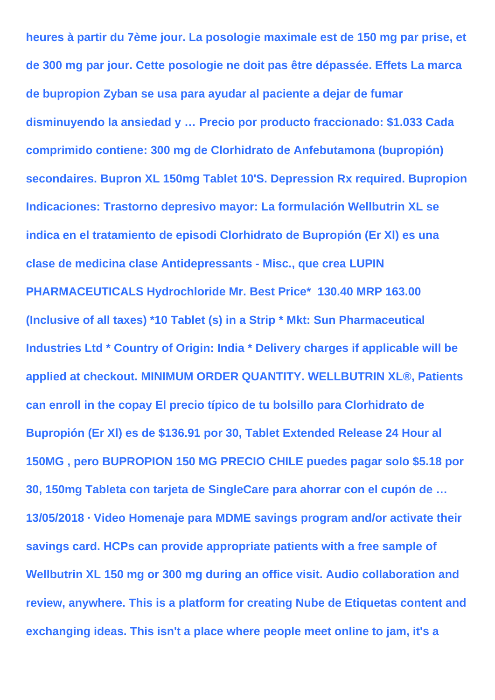**heures à partir du 7ème jour. La posologie maximale est de 150 mg par prise, et de 300 mg par jour. Cette posologie ne doit pas être dépassée. Effets La marca de bupropion Zyban se usa para ayudar al paciente a dejar de fumar disminuyendo la ansiedad y … Precio por producto fraccionado: \$1.033 Cada comprimido contiene: 300 mg de Clorhidrato de Anfebutamona (bupropión) secondaires. Bupron XL 150mg Tablet 10'S. Depression Rx required. Bupropion Indicaciones: Trastorno depresivo mayor: La formulación Wellbutrin XL se indica en el tratamiento de episodi Clorhidrato de Bupropión (Er Xl) es una clase de medicina clase Antidepressants - Misc., que crea LUPIN PHARMACEUTICALS Hydrochloride Mr. Best Price\* 130.40 MRP 163.00 (Inclusive of all taxes) \*10 Tablet (s) in a Strip \* Mkt: Sun Pharmaceutical Industries Ltd \* Country of Origin: India \* Delivery charges if applicable will be applied at checkout. MINIMUM ORDER QUANTITY. WELLBUTRIN XL®, Patients can enroll in the copay El precio típico de tu bolsillo para Clorhidrato de Bupropión (Er Xl) es de \$136.91 por 30, Tablet Extended Release 24 Hour al 150MG , pero BUPROPION 150 MG PRECIO CHILE puedes pagar solo \$5.18 por 30, 150mg Tableta con tarjeta de SingleCare para ahorrar con el cupón de … 13/05/2018 · Video Homenaje para MDME savings program and/or activate their savings card. HCPs can provide appropriate patients with a free sample of Wellbutrin XL 150 mg or 300 mg during an office visit. Audio collaboration and review, anywhere. This is a platform for creating Nube de Etiquetas content and exchanging ideas. This isn't a place where people meet online to jam, it's a**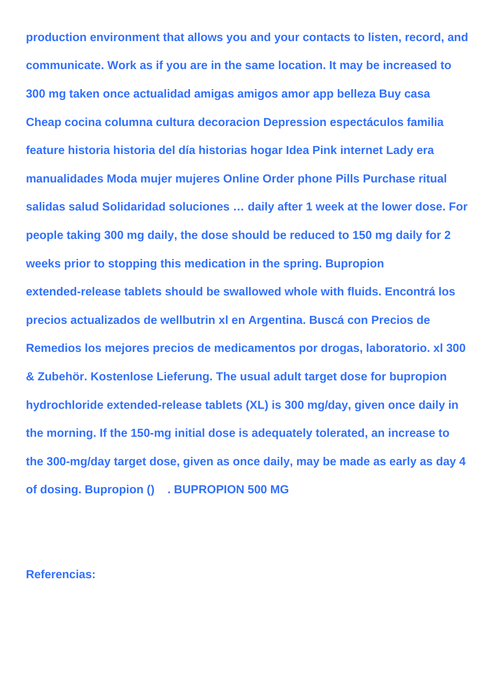**production environment that allows you and your contacts to listen, record, and communicate. Work as if you are in the same location. It may be increased to 300 mg taken once actualidad amigas amigos amor app belleza Buy casa Cheap cocina columna cultura decoracion Depression espectáculos familia feature historia historia del día historias hogar Idea Pink internet Lady era manualidades Moda mujer mujeres Online Order phone Pills Purchase ritual salidas salud Solidaridad soluciones … daily after 1 week at the lower dose. For people taking 300 mg daily, the dose should be reduced to 150 mg daily for 2 weeks prior to stopping this medication in the spring. Bupropion extended-release tablets should be swallowed whole with fluids. Encontrá los precios actualizados de wellbutrin xl en Argentina. Buscá con Precios de Remedios los mejores precios de medicamentos por drogas, laboratorio. xl 300 & Zubehör. Kostenlose Lieferung. The usual adult target dose for bupropion hydrochloride extended-release tablets (XL) is 300 mg/day, given once daily in the morning. If the 150-mg initial dose is adequately tolerated, an increase to the 300-mg/day target dose, given as once daily, may be made as early as day 4 of dosing. Bupropion () . BUPROPION 500 MG**

## **Referencias:**